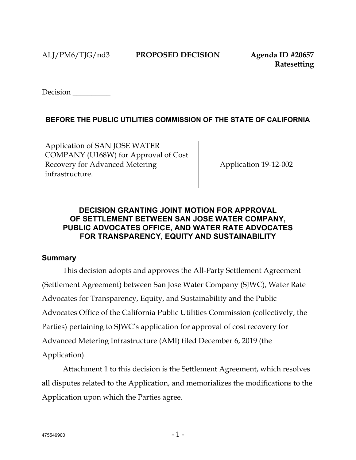Decision \_\_\_\_\_\_\_\_\_\_

# **BEFORE THE PUBLIC UTILITIES COMMISSION OF THE STATE OF CALIFORNIA**

Application of SAN JOSE WATER COMPANY (U168W) for Approval of Cost Recovery for Advanced Metering infrastructure.

Application 19-12-002

# **DECISION GRANTING JOINT MOTION FOR APPROVAL OF SETTLEMENT BETWEEN SAN JOSE WATER COMPANY, PUBLIC ADVOCATES OFFICE, AND WATER RATE ADVOCATES FOR TRANSPARENCY, EQUITY AND SUSTAINABILITY**

### **Summary**

This decision adopts and approves the All-Party Settlement Agreement (Settlement Agreement) between San Jose Water Company (SJWC), Water Rate Advocates for Transparency, Equity, and Sustainability and the Public Advocates Office of the California Public Utilities Commission (collectively, the Parties) pertaining to SJWC's application for approval of cost recovery for Advanced Metering Infrastructure (AMI) filed December 6, 2019 (the Application).

Attachment 1 to this decision is the Settlement Agreement, which resolves all disputes related to the Application, and memorializes the modifications to the Application upon which the Parties agree.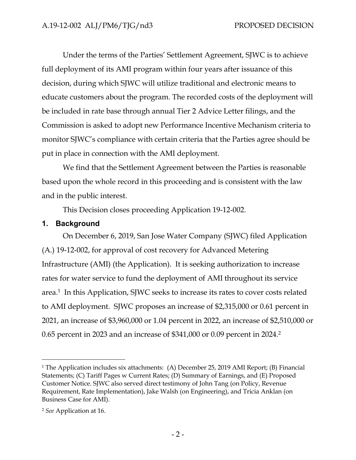Under the terms of the Parties' Settlement Agreement, SJWC is to achieve full deployment of its AMI program within four years after issuance of this decision, during which SJWC will utilize traditional and electronic means to educate customers about the program. The recorded costs of the deployment will be included in rate base through annual Tier 2 Advice Letter filings, and the Commission is asked to adopt new Performance Incentive Mechanism criteria to monitor SJWC's compliance with certain criteria that the Parties agree should be put in place in connection with the AMI deployment.

We find that the Settlement Agreement between the Parties is reasonable based upon the whole record in this proceeding and is consistent with the law and in the public interest.

This Decision closes proceeding Application 19-12-002.

### **1. Background**

On December 6, 2019, San Jose Water Company (SJWC) filed Application (A.) 19-12-002, for approval of cost recovery for Advanced Metering Infrastructure (AMI) (the Application). It is seeking authorization to increase rates for water service to fund the deployment of AMI throughout its service area.<sup>1</sup> In this Application, SJWC seeks to increase its rates to cover costs related to AMI deployment. SJWC proposes an increase of \$2,315,000 or 0.61 percent in 2021, an increase of \$3,960,000 or 1.04 percent in 2022, an increase of \$2,510,000 or 0.65 percent in 2023 and an increase of \$341,000 or 0.09 percent in 2024.<sup>2</sup>

<sup>&</sup>lt;sup>1</sup> The Application includes six attachments: (A) December 25, 2019 AMI Report; (B) Financial Statements; (C) Tariff Pages w Current Rates; (D) Summary of Earnings, and (E) Proposed Customer Notice. SJWC also served direct testimony of John Tang (on Policy, Revenue Requirement, Rate Implementation), Jake Walsh (on Engineering), and Tricia Anklan (on Business Case for AMI).

<sup>2</sup> *See* Application at 16.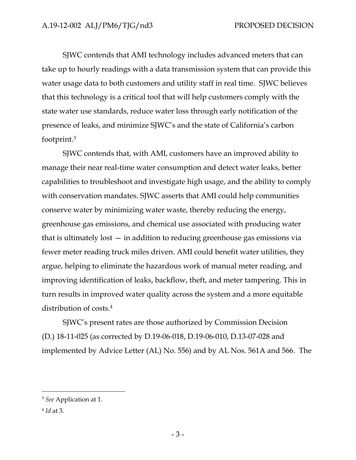SJWC contends that AMI technology includes advanced meters that can take up to hourly readings with a data transmission system that can provide this water usage data to both customers and utility staff in real time. SJWC believes that this technology is a critical tool that will help customers comply with the state water use standards, reduce water loss through early notification of the presence of leaks, and minimize SJWC's and the state of California's carbon footprint.<sup>3</sup>

SJWC contends that, with AMI, customers have an improved ability to manage their near real-time water consumption and detect water leaks, better capabilities to troubleshoot and investigate high usage, and the ability to comply with conservation mandates. SJWC asserts that AMI could help communities conserve water by minimizing water waste, thereby reducing the energy, greenhouse gas emissions, and chemical use associated with producing water that is ultimately lost — in addition to reducing greenhouse gas emissions via fewer meter reading truck miles driven. AMI could benefit water utilities, they argue, helping to eliminate the hazardous work of manual meter reading, and improving identification of leaks, backflow, theft, and meter tampering. This in turn results in improved water quality across the system and a more equitable distribution of costs.<sup>4</sup>

SJWC's present rates are those authorized by Commission Decision (D.) 18-11-025 (as corrected by D.19-06-018, D.19-06-010, D.13-07-028 and implemented by Advice Letter (AL) No. 556) and by AL Nos. 561A and 566. The

<sup>3</sup> *See* Application at 1.

<sup>4</sup> *Id* at 3.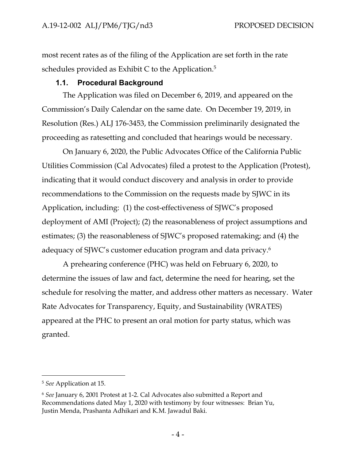most recent rates as of the filing of the Application are set forth in the rate schedules provided as Exhibit C to the Application.<sup>5</sup>

## **1.1. Procedural Background**

The Application was filed on December 6, 2019, and appeared on the Commission's Daily Calendar on the same date. On December 19, 2019, in Resolution (Res.) ALJ 176-3453, the Commission preliminarily designated the proceeding as ratesetting and concluded that hearings would be necessary.

On January 6, 2020, the Public Advocates Office of the California Public Utilities Commission (Cal Advocates) filed a protest to the Application (Protest), indicating that it would conduct discovery and analysis in order to provide recommendations to the Commission on the requests made by SJWC in its Application, including: (1) the cost-effectiveness of SJWC's proposed deployment of AMI (Project); (2) the reasonableness of project assumptions and estimates; (3) the reasonableness of SJWC's proposed ratemaking; and (4) the adequacy of SJWC's customer education program and data privacy.<sup>6</sup>

A prehearing conference (PHC) was held on February 6, 2020, to determine the issues of law and fact, determine the need for hearing, set the schedule for resolving the matter, and address other matters as necessary. Water Rate Advocates for Transparency, Equity, and Sustainability (WRATES) appeared at the PHC to present an oral motion for party status, which was granted.

<sup>5</sup> *See* Application at 15.

<sup>6</sup> *See* January 6, 2001 Protest at 1-2. Cal Advocates also submitted a Report and Recommendations dated May 1, 2020 with testimony by four witnesses: Brian Yu, Justin Menda, Prashanta Adhikari and K.M. Jawadul Baki.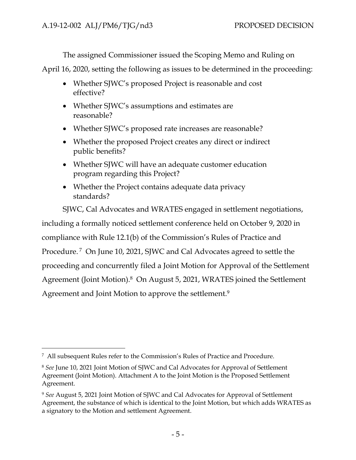The assigned Commissioner issued the Scoping Memo and Ruling on

April 16, 2020, setting the following as issues to be determined in the proceeding:

- Whether SJWC's proposed Project is reasonable and cost effective?
- Whether SJWC's assumptions and estimates are reasonable?
- Whether SJWC's proposed rate increases are reasonable?
- Whether the proposed Project creates any direct or indirect public benefits?
- Whether SJWC will have an adequate customer education program regarding this Project?
- Whether the Project contains adequate data privacy standards?

SJWC, Cal Advocates and WRATES engaged in settlement negotiations, including a formally noticed settlement conference held on October 9, 2020 in compliance with Rule 12.1(b) of the Commission's Rules of Practice and Procedure.<sup>7</sup> On June 10, 2021, SJWC and Cal Advocates agreed to settle the proceeding and concurrently filed a Joint Motion for Approval of the Settlement Agreement (Joint Motion).<sup>8</sup> On August 5, 2021, WRATES joined the Settlement Agreement and Joint Motion to approve the settlement.<sup>9</sup>

<sup>7</sup> All subsequent Rules refer to the Commission's Rules of Practice and Procedure.

<sup>8</sup> *See* June 10, 2021 Joint Motion of SJWC and Cal Advocates for Approval of Settlement Agreement (Joint Motion). Attachment A to the Joint Motion is the Proposed Settlement Agreement.

<sup>9</sup> *See* August 5, 2021 Joint Motion of SJWC and Cal Advocates for Approval of Settlement Agreement, the substance of which is identical to the Joint Motion, but which adds WRATES as a signatory to the Motion and settlement Agreement.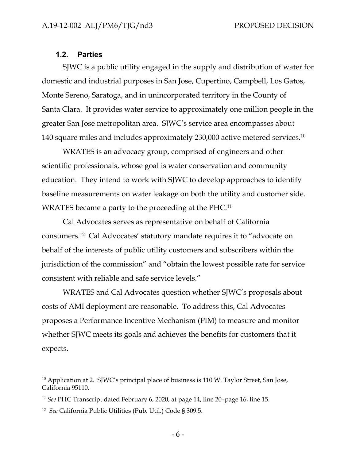#### **1.2. Parties**

SJWC is a public utility engaged in the supply and distribution of water for domestic and industrial purposes in San Jose, Cupertino, Campbell, Los Gatos, Monte Sereno, Saratoga, and in unincorporated territory in the County of Santa Clara. It provides water service to approximately one million people in the greater San Jose metropolitan area. SJWC's service area encompasses about 140 square miles and includes approximately 230,000 active metered services. $^{10}$ 

WRATES is an advocacy group, comprised of engineers and other scientific professionals, whose goal is water conservation and community education. They intend to work with SJWC to develop approaches to identify baseline measurements on water leakage on both the utility and customer side. WRATES became a party to the proceeding at the PHC.<sup>11</sup>

Cal Advocates serves as representative on behalf of California consumers.<sup>12</sup> Cal Advocates' statutory mandate requires it to "advocate on behalf of the interests of public utility customers and subscribers within the jurisdiction of the commission" and "obtain the lowest possible rate for service consistent with reliable and safe service levels."

WRATES and Cal Advocates question whether SJWC's proposals about costs of AMI deployment are reasonable. To address this, Cal Advocates proposes a Performance Incentive Mechanism (PIM) to measure and monitor whether SJWC meets its goals and achieves the benefits for customers that it expects.

<sup>&</sup>lt;sup>10</sup> Application at 2. SJWC's principal place of business is 110 W. Taylor Street, San Jose, California 95110.

*<sup>11</sup> See* PHC Transcript dated February 6, 2020, at page 14, line 20–page 16, line 15.

<sup>12</sup> *See* California Public Utilities (Pub. Util.) Code § 309.5.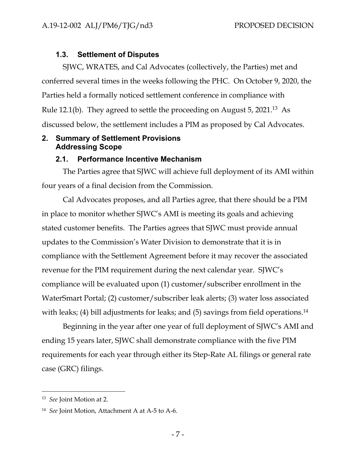# **1.3. Settlement of Disputes**

SJWC, WRATES, and Cal Advocates (collectively, the Parties) met and conferred several times in the weeks following the PHC. On October 9, 2020, the Parties held a formally noticed settlement conference in compliance with Rule 12.1(b). They agreed to settle the proceeding on August 5, 2021.<sup>13</sup> As discussed below, the settlement includes a PIM as proposed by Cal Advocates.

## **2. Summary of Settlement Provisions Addressing Scope**

#### **2.1. Performance Incentive Mechanism**

The Parties agree that SJWC will achieve full deployment of its AMI within four years of a final decision from the Commission.

Cal Advocates proposes, and all Parties agree, that there should be a PIM in place to monitor whether SJWC's AMI is meeting its goals and achieving stated customer benefits. The Parties agrees that SJWC must provide annual updates to the Commission's Water Division to demonstrate that it is in compliance with the Settlement Agreement before it may recover the associated revenue for the PIM requirement during the next calendar year. SJWC's compliance will be evaluated upon (1) customer/subscriber enrollment in the WaterSmart Portal; (2) customer/subscriber leak alerts; (3) water loss associated with leaks; (4) bill adjustments for leaks; and (5) savings from field operations.<sup>14</sup>

Beginning in the year after one year of full deployment of SJWC's AMI and ending 15 years later, SJWC shall demonstrate compliance with the five PIM requirements for each year through either its Step-Rate AL filings or general rate case (GRC) filings.

<sup>13</sup> *See* Joint Motion at 2.

<sup>14</sup> *See* Joint Motion, Attachment A at A-5 to A-6.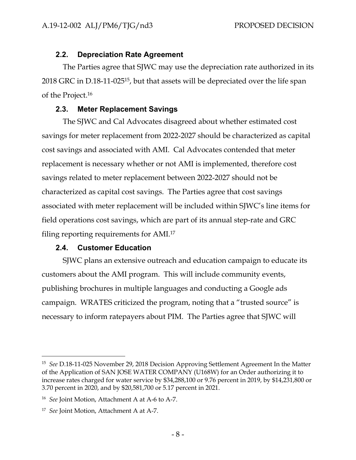#### **2.2. Depreciation Rate Agreement**

The Parties agree that SJWC may use the depreciation rate authorized in its 2018 GRC in D.18-11-025<sup>15</sup> , but that assets will be depreciated over the life span of the Project.<sup>16</sup>

#### **2.3. Meter Replacement Savings**

The SJWC and Cal Advocates disagreed about whether estimated cost savings for meter replacement from 2022-2027 should be characterized as capital cost savings and associated with AMI. Cal Advocates contended that meter replacement is necessary whether or not AMI is implemented, therefore cost savings related to meter replacement between 2022-2027 should not be characterized as capital cost savings. The Parties agree that cost savings associated with meter replacement will be included within SJWC's line items for field operations cost savings, which are part of its annual step-rate and GRC filing reporting requirements for AMI.<sup>17</sup>

### **2.4. Customer Education**

SJWC plans an extensive outreach and education campaign to educate its customers about the AMI program. This will include community events, publishing brochures in multiple languages and conducting a Google ads campaign. WRATES criticized the program, noting that a "trusted source" is necessary to inform ratepayers about PIM. The Parties agree that SJWC will

<sup>15</sup> *See* D.18-11-025 November 29, 2018 Decision Approving Settlement Agreement In the Matter of the Application of SAN JOSE WATER COMPANY (U168W) for an Order authorizing it to increase rates charged for water service by \$34,288,100 or 9.76 percent in 2019, by \$14,231,800 or 3.70 percent in 2020, and by \$20,581,700 or 5.17 percent in 2021.

<sup>16</sup> *See* Joint Motion, Attachment A at A-6 to A-7.

<sup>17</sup> *See* Joint Motion, Attachment A at A-7.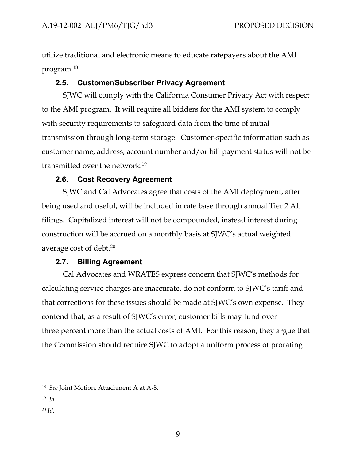utilize traditional and electronic means to educate ratepayers about the AMI program.<sup>18</sup>

# **2.5. Customer/Subscriber Privacy Agreement**

SJWC will comply with the California Consumer Privacy Act with respect to the AMI program. It will require all bidders for the AMI system to comply with security requirements to safeguard data from the time of initial transmission through long-term storage. Customer-specific information such as customer name, address, account number and/or bill payment status will not be transmitted over the network.<sup>19</sup>

# **2.6. Cost Recovery Agreement**

SJWC and Cal Advocates agree that costs of the AMI deployment, after being used and useful, will be included in rate base through annual Tier 2 AL filings. Capitalized interest will not be compounded, instead interest during construction will be accrued on a monthly basis at SJWC's actual weighted average cost of debt. $20$ 

### **2.7. Billing Agreement**

Cal Advocates and WRATES express concern that SJWC's methods for calculating service charges are inaccurate, do not conform to SJWC's tariff and that corrections for these issues should be made at SJWC's own expense. They contend that, as a result of SJWC's error, customer bills may fund over three percent more than the actual costs of AMI. For this reason, they argue that the Commission should require SJWC to adopt a uniform process of prorating

- 19 *Id.*
- <sup>20</sup> *Id.*

<sup>18</sup> *See* Joint Motion, Attachment A at A-8.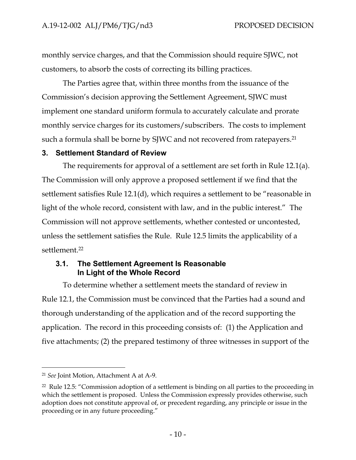monthly service charges, and that the Commission should require SJWC, not customers, to absorb the costs of correcting its billing practices.

The Parties agree that, within three months from the issuance of the Commission's decision approving the Settlement Agreement, SJWC must implement one standard uniform formula to accurately calculate and prorate monthly service charges for its customers/subscribers. The costs to implement such a formula shall be borne by SJWC and not recovered from ratepayers.<sup>21</sup>

#### **3. Settlement Standard of Review**

The requirements for approval of a settlement are set forth in Rule 12.1(a). The Commission will only approve a proposed settlement if we find that the settlement satisfies Rule 12.1(d), which requires a settlement to be "reasonable in light of the whole record, consistent with law, and in the public interest." The Commission will not approve settlements, whether contested or uncontested, unless the settlement satisfies the Rule. Rule 12.5 limits the applicability of a settlement.<sup>22</sup>

### **3.1. The Settlement Agreement Is Reasonable In Light of the Whole Record**

To determine whether a settlement meets the standard of review in Rule 12.1, the Commission must be convinced that the Parties had a sound and thorough understanding of the application and of the record supporting the application. The record in this proceeding consists of: (1) the Application and five attachments; (2) the prepared testimony of three witnesses in support of the

<sup>21</sup> *See* Joint Motion, Attachment A at A-9.

 $22$  Rule 12.5: "Commission adoption of a settlement is binding on all parties to the proceeding in which the settlement is proposed. Unless the Commission expressly provides otherwise, such adoption does not constitute approval of, or precedent regarding, any principle or issue in the proceeding or in any future proceeding."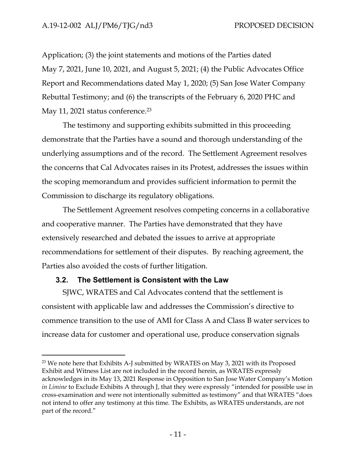Application; (3) the joint statements and motions of the Parties dated May 7, 2021, June 10, 2021, and August 5, 2021; (4) the Public Advocates Office Report and Recommendations dated May 1, 2020; (5) San Jose Water Company Rebuttal Testimony; and (6) the transcripts of the February 6, 2020 PHC and May 11, 2021 status conference.<sup>23</sup>

The testimony and supporting exhibits submitted in this proceeding demonstrate that the Parties have a sound and thorough understanding of the underlying assumptions and of the record. The Settlement Agreement resolves the concerns that Cal Advocates raises in its Protest, addresses the issues within the scoping memorandum and provides sufficient information to permit the Commission to discharge its regulatory obligations.

The Settlement Agreement resolves competing concerns in a collaborative and cooperative manner. The Parties have demonstrated that they have extensively researched and debated the issues to arrive at appropriate recommendations for settlement of their disputes. By reaching agreement, the Parties also avoided the costs of further litigation.

### **3.2. The Settlement is Consistent with the Law**

SJWC, WRATES and Cal Advocates contend that the settlement is consistent with applicable law and addresses the Commission's directive to commence transition to the use of AMI for Class A and Class B water services to increase data for customer and operational use, produce conservation signals

<sup>&</sup>lt;sup>23</sup> We note here that Exhibits A-J submitted by WRATES on May 3, 2021 with its Proposed Exhibit and Witness List are not included in the record herein, as WRATES expressly acknowledges in its May 13, 2021 Response in Opposition to San Jose Water Company's Motion *in Limine* to Exclude Exhibits A through J, that they were expressly "intended for possible use in cross-examination and were not intentionally submitted as testimony" and that WRATES "does not intend to offer any testimony at this time. The Exhibits, as WRATES understands, are not part of the record."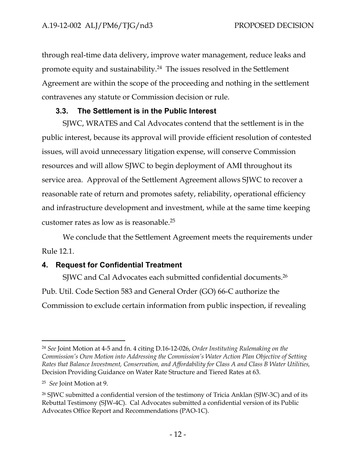through real-time data delivery, improve water management, reduce leaks and promote equity and sustainability.<sup>24</sup> The issues resolved in the Settlement Agreement are within the scope of the proceeding and nothing in the settlement contravenes any statute or Commission decision or rule.

# **3.3. The Settlement is in the Public Interest**

SJWC, WRATES and Cal Advocates contend that the settlement is in the public interest, because its approval will provide efficient resolution of contested issues, will avoid unnecessary litigation expense, will conserve Commission resources and will allow SJWC to begin deployment of AMI throughout its service area. Approval of the Settlement Agreement allows SJWC to recover a reasonable rate of return and promotes safety, reliability, operational efficiency and infrastructure development and investment, while at the same time keeping customer rates as low as is reasonable.<sup>25</sup>

We conclude that the Settlement Agreement meets the requirements under Rule 12.1.

# **4. Request for Confidential Treatment**

SJWC and Cal Advocates each submitted confidential documents.<sup>26</sup> Pub. Util. Code Section 583 and General Order (GO) 66-C authorize the Commission to exclude certain information from public inspection, if revealing

<sup>24</sup> *See* Joint Motion at 4-5 and fn. 4 citing D.16-12-026, *Order Instituting Rulemaking on the Commission's Own Motion into Addressing the Commission's Water Action Plan Objective of Setting Rates that Balance Investment, Conservation, and Affordability for Class A and Class B Water Utilities,* Decision Providing Guidance on Water Rate Structure and Tiered Rates at 63.

<sup>25</sup> *See* Joint Motion at 9.

<sup>&</sup>lt;sup>26</sup> SJWC submitted a confidential version of the testimony of Tricia Anklan (SJW-3C) and of its Rebuttal Testimony (SJW-4C). Cal Advocates submitted a confidential version of its Public Advocates Office Report and Recommendations (PAO-1C).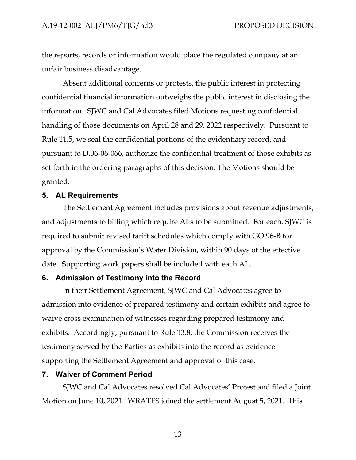the reports, records or information would place the regulated company at an unfair business disadvantage.

Absent additional concerns or protests, the public interest in protecting confidential financial information outweighs the public interest in disclosing the information. SJWC and Cal Advocates filed Motions requesting confidential handling of those documents on April 28 and 29, 2022 respectively. Pursuant to Rule 11.5, we seal the confidential portions of the evidentiary record, and pursuant to D.06-06-066, authorize the confidential treatment of those exhibits as set forth in the ordering paragraphs of this decision. The Motions should be granted.

#### **5. AL Requirements**

The Settlement Agreement includes provisions about revenue adjustments, and adjustments to billing which require ALs to be submitted. For each, SJWC is required to submit revised tariff schedules which comply with GO 96-B for approval by the Commission's Water Division, within 90 days of the effective date. Supporting work papers shall be included with each AL.

#### **6. Admission of Testimony into the Record**

In their Settlement Agreement, SJWC and Cal Advocates agree to admission into evidence of prepared testimony and certain exhibits and agree to waive cross examination of witnesses regarding prepared testimony and exhibits. Accordingly, pursuant to Rule 13.8, the Commission receives the testimony served by the Parties as exhibits into the record as evidence supporting the Settlement Agreement and approval of this case.

#### **7. Waiver of Comment Period**

SJWC and Cal Advocates resolved Cal Advocates' Protest and filed a Joint Motion on June 10, 2021. WRATES joined the settlement August 5, 2021. This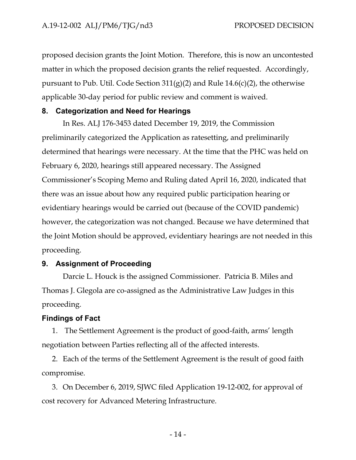proposed decision grants the Joint Motion. Therefore, this is now an uncontested matter in which the proposed decision grants the relief requested. Accordingly, pursuant to Pub. Util. Code Section  $311(g)(2)$  and Rule  $14.6(c)(2)$ , the otherwise applicable 30-day period for public review and comment is waived.

# **8. Categorization and Need for Hearings**

In Res. ALJ 176-3453 dated December 19, 2019, the Commission preliminarily categorized the Application as ratesetting, and preliminarily determined that hearings were necessary. At the time that the PHC was held on February 6, 2020, hearings still appeared necessary. The Assigned Commissioner's Scoping Memo and Ruling dated April 16, 2020, indicated that there was an issue about how any required public participation hearing or evidentiary hearings would be carried out (because of the COVID pandemic) however, the categorization was not changed. Because we have determined that the Joint Motion should be approved, evidentiary hearings are not needed in this proceeding.

# **9. Assignment of Proceeding**

Darcie L. Houck is the assigned Commissioner. Patricia B. Miles and Thomas J. Glegola are co-assigned as the Administrative Law Judges in this proceeding.

# **Findings of Fact**

1. The Settlement Agreement is the product of good-faith, arms' length negotiation between Parties reflecting all of the affected interests.

2. Each of the terms of the Settlement Agreement is the result of good faith compromise.

3. On December 6, 2019, SJWC filed Application 19-12-002, for approval of cost recovery for Advanced Metering Infrastructure.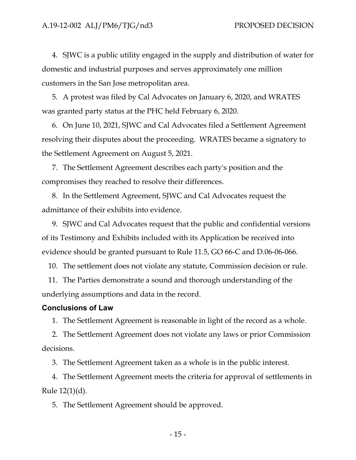4. SJWC is a public utility engaged in the supply and distribution of water for domestic and industrial purposes and serves approximately one million customers in the San Jose metropolitan area.

5. A protest was filed by Cal Advocates on January 6, 2020, and WRATES was granted party status at the PHC held February 6, 2020.

6. On June 10, 2021, SJWC and Cal Advocates filed a Settlement Agreement resolving their disputes about the proceeding. WRATES became a signatory to the Settlement Agreement on August 5, 2021.

7. The Settlement Agreement describes each party's position and the compromises they reached to resolve their differences.

8. In the Settlement Agreement, SJWC and Cal Advocates request the admittance of their exhibits into evidence.

9. SJWC and Cal Advocates request that the public and confidential versions of its Testimony and Exhibits included with its Application be received into evidence should be granted pursuant to Rule 11.5, GO 66-C and D.06-06-066.

10. The settlement does not violate any statute, Commission decision or rule.

11. The Parties demonstrate a sound and thorough understanding of the underlying assumptions and data in the record.

#### **Conclusions of Law**

1. The Settlement Agreement is reasonable in light of the record as a whole.

2. The Settlement Agreement does not violate any laws or prior Commission decisions.

3. The Settlement Agreement taken as a whole is in the public interest.

4. The Settlement Agreement meets the criteria for approval of settlements in Rule 12(1)(d).

5. The Settlement Agreement should be approved.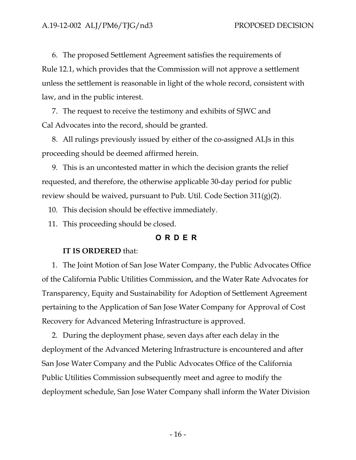6. The proposed Settlement Agreement satisfies the requirements of Rule 12.1, which provides that the Commission will not approve a settlement unless the settlement is reasonable in light of the whole record, consistent with law, and in the public interest.

7. The request to receive the testimony and exhibits of SJWC and Cal Advocates into the record, should be granted.

8. All rulings previously issued by either of the co-assigned ALJs in this proceeding should be deemed affirmed herein.

9. This is an uncontested matter in which the decision grants the relief requested, and therefore, the otherwise applicable 30-day period for public review should be waived, pursuant to Pub. Util. Code Section  $311(g)(2)$ .

10. This decision should be effective immediately.

11. This proceeding should be closed.

## **O R D E R**

#### **IT IS ORDERED** that:

1. The Joint Motion of San Jose Water Company, the Public Advocates Office of the California Public Utilities Commission, and the Water Rate Advocates for Transparency, Equity and Sustainability for Adoption of Settlement Agreement pertaining to the Application of San Jose Water Company for Approval of Cost Recovery for Advanced Metering Infrastructure is approved.

2. During the deployment phase, seven days after each delay in the deployment of the Advanced Metering Infrastructure is encountered and after San Jose Water Company and the Public Advocates Office of the California Public Utilities Commission subsequently meet and agree to modify the deployment schedule, San Jose Water Company shall inform the Water Division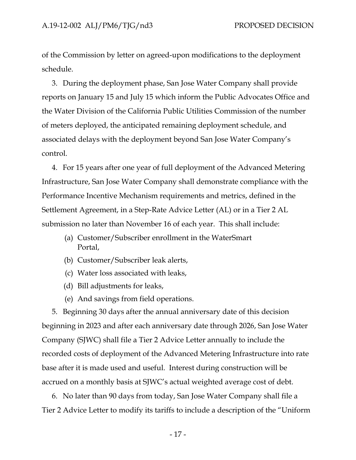of the Commission by letter on agreed-upon modifications to the deployment schedule.

3. During the deployment phase, San Jose Water Company shall provide reports on January 15 and July 15 which inform the Public Advocates Office and the Water Division of the California Public Utilities Commission of the number of meters deployed, the anticipated remaining deployment schedule, and associated delays with the deployment beyond San Jose Water Company's control.

4. For 15 years after one year of full deployment of the Advanced Metering Infrastructure, San Jose Water Company shall demonstrate compliance with the Performance Incentive Mechanism requirements and metrics, defined in the Settlement Agreement, in a Step-Rate Advice Letter (AL) or in a Tier 2 AL submission no later than November 16 of each year. This shall include:

- (a) Customer/Subscriber enrollment in the WaterSmart Portal,
- (b) Customer/Subscriber leak alerts,
- (c) Water loss associated with leaks,
- (d) Bill adjustments for leaks,
- (e) And savings from field operations.

5. Beginning 30 days after the annual anniversary date of this decision beginning in 2023 and after each anniversary date through 2026, San Jose Water Company (SJWC) shall file a Tier 2 Advice Letter annually to include the recorded costs of deployment of the Advanced Metering Infrastructure into rate base after it is made used and useful. Interest during construction will be accrued on a monthly basis at SJWC's actual weighted average cost of debt.

6. No later than 90 days from today, San Jose Water Company shall file a Tier 2 Advice Letter to modify its tariffs to include a description of the "Uniform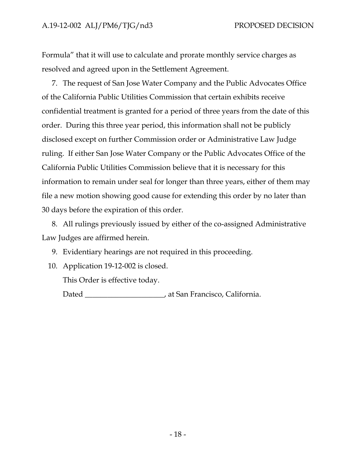Formula" that it will use to calculate and prorate monthly service charges as resolved and agreed upon in the Settlement Agreement.

7. The request of San Jose Water Company and the Public Advocates Office of the California Public Utilities Commission that certain exhibits receive confidential treatment is granted for a period of three years from the date of this order. During this three year period, this information shall not be publicly disclosed except on further Commission order or Administrative Law Judge ruling. If either San Jose Water Company or the Public Advocates Office of the California Public Utilities Commission believe that it is necessary for this information to remain under seal for longer than three years, either of them may file a new motion showing good cause for extending this order by no later than 30 days before the expiration of this order.

8. All rulings previously issued by either of the co-assigned Administrative Law Judges are affirmed herein.

9. Evidentiary hearings are not required in this proceeding.

10. Application 19-12-002 is closed.

This Order is effective today.

Dated \_\_\_\_\_\_\_\_\_\_\_\_\_\_\_\_\_\_\_\_\_, at San Francisco, California.